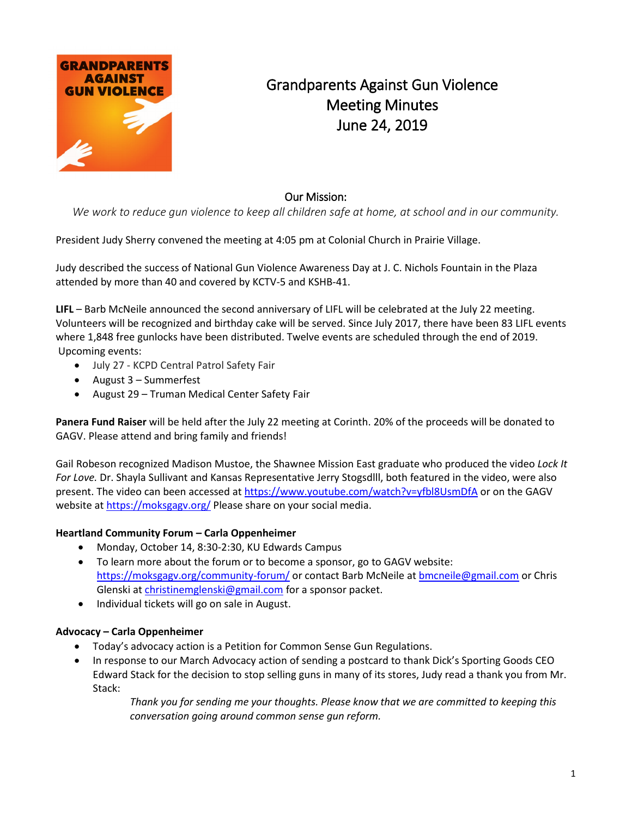

## Grandparents Against Gun Violence Meeting Minutes June 24, 2019

## Our Mission:

*We work to reduce gun violence to keep all children safe at home, at school and in our community.*

President Judy Sherry convened the meeting at 4:05 pm at Colonial Church in Prairie Village.

Judy described the success of National Gun Violence Awareness Day at J. C. Nichols Fountain in the Plaza attended by more than 40 and covered by KCTV-5 and KSHB-41.

**LIFL** – Barb McNeile announced the second anniversary of LIFL will be celebrated at the July 22 meeting. Volunteers will be recognized and birthday cake will be served. Since July 2017, there have been 83 LIFL events where 1,848 free gunlocks have been distributed. Twelve events are scheduled through the end of 2019. Upcoming events:

- July 27 KCPD Central Patrol Safety Fair
- August 3 Summerfest
- August 29 Truman Medical Center Safety Fair

**Panera Fund Raiser** will be held after the July 22 meeting at Corinth. 20% of the proceeds will be donated to GAGV. Please attend and bring family and friends!

Gail Robeson recognized Madison Mustoe, the Shawnee Mission East graduate who produced the video *Lock It For Love.* Dr. Shayla Sullivant and Kansas Representative Jerry Stogsdlll, both featured in the video, were also present. The video can been accessed a[t https://www.youtube.com/watch?v=yfbl8UsmDfA](https://www.youtube.com/watch?v=yfbl8UsmDfA) or on the GAGV website at<https://moksgagv.org/> Please share on your social media.

## **Heartland Community Forum – Carla Oppenheimer**

- Monday, October 14, 8:30-2:30, KU Edwards Campus
- To learn more about the forum or to become a sponsor, go to GAGV website: <https://moksgagv.org/community-forum/> or contact Barb McNeile a[t bmcneile@gmail.com](mailto:bmcneile@gmail.com) or Chris Glenski at [christinemglenski@gmail.com](mailto:christinemglenski@gmail.com) for a sponsor packet.
- Individual tickets will go on sale in August.

## **Advocacy – Carla Oppenheimer**

- Today's advocacy action is a Petition for Common Sense Gun Regulations.
- In response to our March Advocacy action of sending a postcard to thank Dick's Sporting Goods CEO Edward Stack for the decision to stop selling guns in many of its stores, Judy read a thank you from Mr. Stack:

*Thank you for sending me your thoughts. Please know that we are committed to keeping this conversation going around common sense gun reform.*